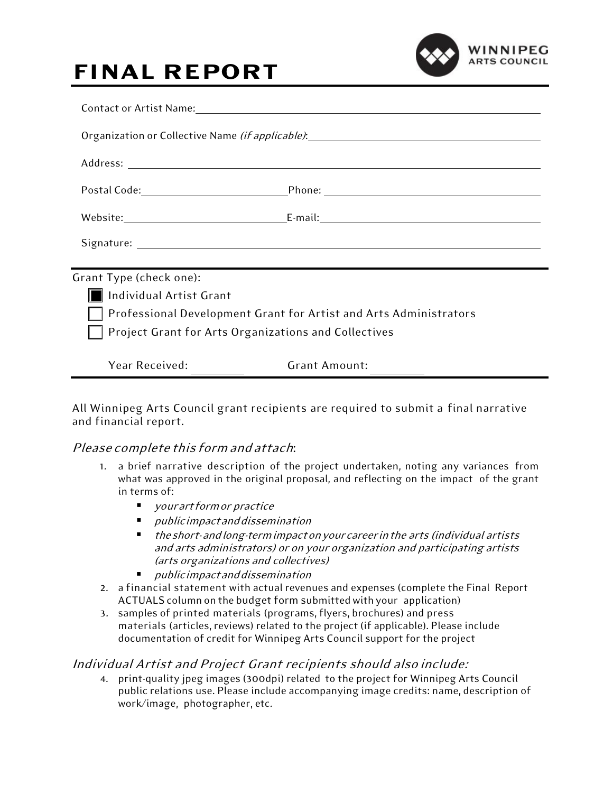## **FINAL REPORT**



| Organization or Collective Name (if applicable): _______________________________ |                      |  |  |  |
|----------------------------------------------------------------------------------|----------------------|--|--|--|
|                                                                                  |                      |  |  |  |
|                                                                                  |                      |  |  |  |
|                                                                                  |                      |  |  |  |
|                                                                                  |                      |  |  |  |
| Grant Type (check one):                                                          |                      |  |  |  |
| Individual Artist Grant                                                          |                      |  |  |  |
| Professional Development Grant for Artist and Arts Administrators                |                      |  |  |  |
| Project Grant for Arts Organizations and Collectives                             |                      |  |  |  |
| Year Received:                                                                   | <b>Grant Amount:</b> |  |  |  |

All Winnipeg Arts Council grant recipients are required to submit a final narrative and financial report.

## Please complete this formand attach:

- 1. a brief narrative description of the project undertaken, noting any variances from what was approved in the original proposal, and reflecting on the impact of the grant in terms of:
	- **u** your art form or practice
	- publicimpactanddissemination
	- theshort- andlong-termimpactonyourcareer in the arts (individual artists and arts administrators) or on your organization and participating artists (arts organizations and collectives)
	- publicimpactanddissemination
- 2. a financial statement with actual revenues and expenses (complete the Final Report ACTUALS column on the budget form submitted with your application)
- 3. samples of printed materials (programs, flyers, brochures) and press materials (articles, reviews) related to the project(if applicable). Please include documentation of credit for Winnipeg Arts Council support for the project

## Individual Artist and Project Grant recipients should also include:

4. print-quality jpeg images (300dpi) related to the project for Winnipeg Arts Council public relations use. Please include accompanying image credits: name, description of work/image, photographer, etc.